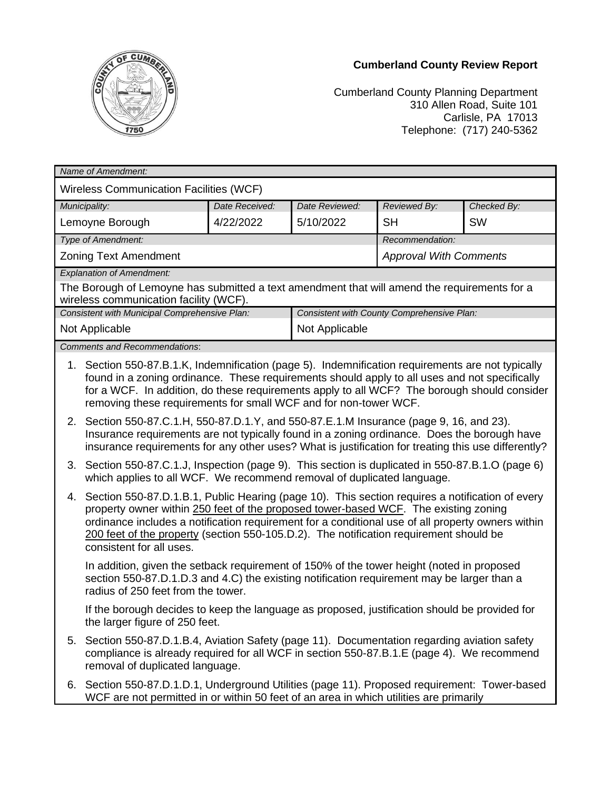## **Cumberland County Review Report**



Cumberland County Planning Department 310 Allen Road, Suite 101 Carlisle, PA 17013 Telephone: (717) 240-5362

| Name of Amendment:                                                                                                                     |                                                                                                                                                                                                                                                                                                                                                                                                                      |                |                                            |                               |             |
|----------------------------------------------------------------------------------------------------------------------------------------|----------------------------------------------------------------------------------------------------------------------------------------------------------------------------------------------------------------------------------------------------------------------------------------------------------------------------------------------------------------------------------------------------------------------|----------------|--------------------------------------------|-------------------------------|-------------|
| <b>Wireless Communication Facilities (WCF)</b>                                                                                         |                                                                                                                                                                                                                                                                                                                                                                                                                      |                |                                            |                               |             |
| Municipality:                                                                                                                          |                                                                                                                                                                                                                                                                                                                                                                                                                      | Date Received: | Date Reviewed:                             | Reviewed By:                  | Checked By: |
| Lemoyne Borough                                                                                                                        |                                                                                                                                                                                                                                                                                                                                                                                                                      | 4/22/2022      | 5/10/2022                                  | <b>SH</b>                     | <b>SW</b>   |
| Type of Amendment:                                                                                                                     |                                                                                                                                                                                                                                                                                                                                                                                                                      |                |                                            | Recommendation:               |             |
|                                                                                                                                        | <b>Zoning Text Amendment</b>                                                                                                                                                                                                                                                                                                                                                                                         |                |                                            | <b>Approval With Comments</b> |             |
| <b>Explanation of Amendment:</b>                                                                                                       |                                                                                                                                                                                                                                                                                                                                                                                                                      |                |                                            |                               |             |
| The Borough of Lemoyne has submitted a text amendment that will amend the requirements for a<br>wireless communication facility (WCF). |                                                                                                                                                                                                                                                                                                                                                                                                                      |                |                                            |                               |             |
| Consistent with Municipal Comprehensive Plan:                                                                                          |                                                                                                                                                                                                                                                                                                                                                                                                                      |                | Consistent with County Comprehensive Plan: |                               |             |
| Not Applicable                                                                                                                         |                                                                                                                                                                                                                                                                                                                                                                                                                      |                | Not Applicable                             |                               |             |
| <b>Comments and Recommendations:</b>                                                                                                   |                                                                                                                                                                                                                                                                                                                                                                                                                      |                |                                            |                               |             |
|                                                                                                                                        | 1. Section 550-87.B.1.K, Indemnification (page 5). Indemnification requirements are not typically<br>found in a zoning ordinance. These requirements should apply to all uses and not specifically<br>for a WCF. In addition, do these requirements apply to all WCF? The borough should consider<br>removing these requirements for small WCF and for non-tower WCF.                                                |                |                                            |                               |             |
|                                                                                                                                        | 2. Section 550-87.C.1.H, 550-87.D.1.Y, and 550-87.E.1.M Insurance (page 9, 16, and 23).<br>Insurance requirements are not typically found in a zoning ordinance. Does the borough have<br>insurance requirements for any other uses? What is justification for treating this use differently?                                                                                                                        |                |                                            |                               |             |
|                                                                                                                                        | 3. Section 550-87.C.1.J, Inspection (page 9). This section is duplicated in 550-87.B.1.O (page 6)<br>which applies to all WCF. We recommend removal of duplicated language.                                                                                                                                                                                                                                          |                |                                            |                               |             |
|                                                                                                                                        | 4. Section 550-87.D.1.B.1, Public Hearing (page 10). This section requires a notification of every<br>property owner within 250 feet of the proposed tower-based WCF. The existing zoning<br>ordinance includes a notification requirement for a conditional use of all property owners within<br>200 feet of the property (section 550-105.D.2). The notification requirement should be<br>consistent for all uses. |                |                                            |                               |             |
|                                                                                                                                        | In addition, given the setback requirement of 150% of the tower height (noted in proposed<br>section 550-87.D.1.D.3 and 4.C) the existing notification requirement may be larger than a<br>radius of 250 feet from the tower.                                                                                                                                                                                        |                |                                            |                               |             |
|                                                                                                                                        | If the borough decides to keep the language as proposed, justification should be provided for<br>the larger figure of 250 feet.                                                                                                                                                                                                                                                                                      |                |                                            |                               |             |
|                                                                                                                                        | 5. Section 550-87.D.1.B.4, Aviation Safety (page 11). Documentation regarding aviation safety<br>compliance is already required for all WCF in section 550-87.B.1.E (page 4). We recommend<br>removal of duplicated language.                                                                                                                                                                                        |                |                                            |                               |             |
|                                                                                                                                        | 6. Section 550-87.D.1.D.1, Underground Utilities (page 11). Proposed requirement: Tower-based<br>WCF are not permitted in or within 50 feet of an area in which utilities are primarily                                                                                                                                                                                                                              |                |                                            |                               |             |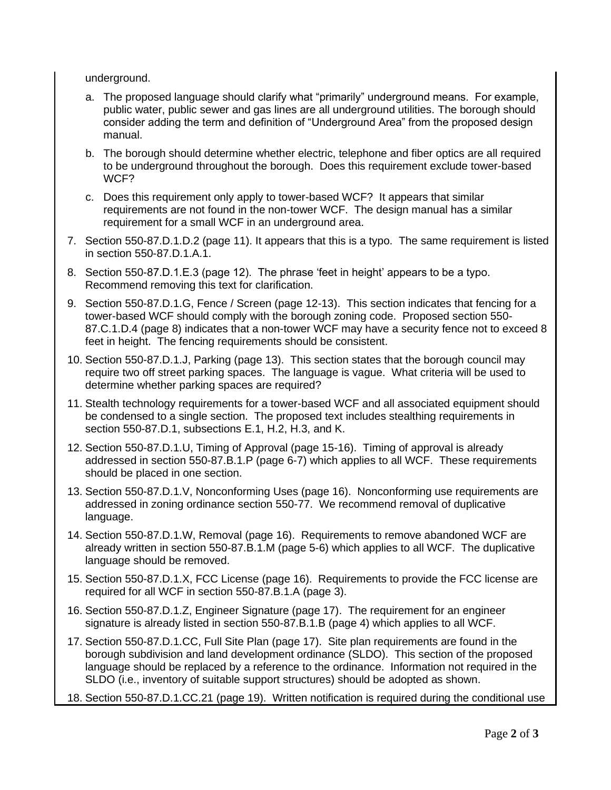underground.

- a. The proposed language should clarify what "primarily" underground means. For example, public water, public sewer and gas lines are all underground utilities. The borough should consider adding the term and definition of "Underground Area" from the proposed design manual.
- b. The borough should determine whether electric, telephone and fiber optics are all required to be underground throughout the borough. Does this requirement exclude tower-based WCF?
- c. Does this requirement only apply to tower-based WCF? It appears that similar requirements are not found in the non-tower WCF. The design manual has a similar requirement for a small WCF in an underground area.
- 7. Section 550-87.D.1.D.2 (page 11). It appears that this is a typo. The same requirement is listed in section 550-87.D.1.A.1.
- 8. Section 550-87.D.1.E.3 (page 12). The phrase 'feet in height' appears to be a typo. Recommend removing this text for clarification.
- 9. Section 550-87.D.1.G, Fence / Screen (page 12-13). This section indicates that fencing for a tower-based WCF should comply with the borough zoning code. Proposed section 550- 87.C.1.D.4 (page 8) indicates that a non-tower WCF may have a security fence not to exceed 8 feet in height. The fencing requirements should be consistent.
- 10. Section 550-87.D.1.J, Parking (page 13). This section states that the borough council may require two off street parking spaces. The language is vague. What criteria will be used to determine whether parking spaces are required?
- 11. Stealth technology requirements for a tower-based WCF and all associated equipment should be condensed to a single section. The proposed text includes stealthing requirements in section 550-87.D.1, subsections E.1, H.2, H.3, and K.
- 12. Section 550-87.D.1.U, Timing of Approval (page 15-16). Timing of approval is already addressed in section 550-87.B.1.P (page 6-7) which applies to all WCF. These requirements should be placed in one section.
- 13. Section 550-87.D.1.V, Nonconforming Uses (page 16). Nonconforming use requirements are addressed in zoning ordinance section 550-77. We recommend removal of duplicative language.
- 14. Section 550-87.D.1.W, Removal (page 16). Requirements to remove abandoned WCF are already written in section 550-87.B.1.M (page 5-6) which applies to all WCF. The duplicative language should be removed.
- 15. Section 550-87.D.1.X, FCC License (page 16). Requirements to provide the FCC license are required for all WCF in section 550-87.B.1.A (page 3).
- 16. Section 550-87.D.1.Z, Engineer Signature (page 17). The requirement for an engineer signature is already listed in section 550-87.B.1.B (page 4) which applies to all WCF.
- 17. Section 550-87.D.1.CC, Full Site Plan (page 17). Site plan requirements are found in the borough subdivision and land development ordinance (SLDO). This section of the proposed language should be replaced by a reference to the ordinance. Information not required in the SLDO (i.e., inventory of suitable support structures) should be adopted as shown.
- 18. Section 550-87.D.1.CC.21 (page 19). Written notification is required during the conditional use